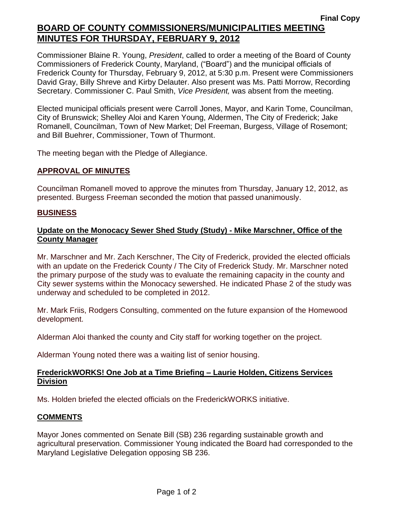# **Final Copy BOARD OF COUNTY COMMISSIONERS/MUNICIPALITIES MEETING MINUTES FOR THURSDAY, FEBRUARY 9, 2012**

Commissioner Blaine R. Young, *President*, called to order a meeting of the Board of County Commissioners of Frederick County, Maryland, ("Board") and the municipal officials of Frederick County for Thursday, February 9, 2012, at 5:30 p.m. Present were Commissioners David Gray, Billy Shreve and Kirby Delauter. Also present was Ms. Patti Morrow, Recording Secretary. Commissioner C. Paul Smith, *Vice President,* was absent from the meeting.

Elected municipal officials present were Carroll Jones, Mayor, and Karin Tome, Councilman, City of Brunswick; Shelley Aloi and Karen Young, Aldermen, The City of Frederick; Jake Romanell, Councilman, Town of New Market; Del Freeman, Burgess, Village of Rosemont; and Bill Buehrer, Commissioner, Town of Thurmont.

The meeting began with the Pledge of Allegiance.

#### **APPROVAL OF MINUTES**

Councilman Romanell moved to approve the minutes from Thursday, January 12, 2012, as presented. Burgess Freeman seconded the motion that passed unanimously.

#### **BUSINESS**

## **Update on the Monocacy Sewer Shed Study (Study) - Mike Marschner, Office of the County Manager**

Mr. Marschner and Mr. Zach Kerschner, The City of Frederick, provided the elected officials with an update on the Frederick County / The City of Frederick Study. Mr. Marschner noted the primary purpose of the study was to evaluate the remaining capacity in the county and City sewer systems within the Monocacy sewershed. He indicated Phase 2 of the study was underway and scheduled to be completed in 2012.

Mr. Mark Friis, Rodgers Consulting, commented on the future expansion of the Homewood development.

Alderman Aloi thanked the county and City staff for working together on the project.

Alderman Young noted there was a waiting list of senior housing.

## **FrederickWORKS! One Job at a Time Briefing – Laurie Holden, Citizens Services Division**

Ms. Holden briefed the elected officials on the FrederickWORKS initiative.

## **COMMENTS**

Mayor Jones commented on Senate Bill (SB) 236 regarding sustainable growth and agricultural preservation. Commissioner Young indicated the Board had corresponded to the Maryland Legislative Delegation opposing SB 236.